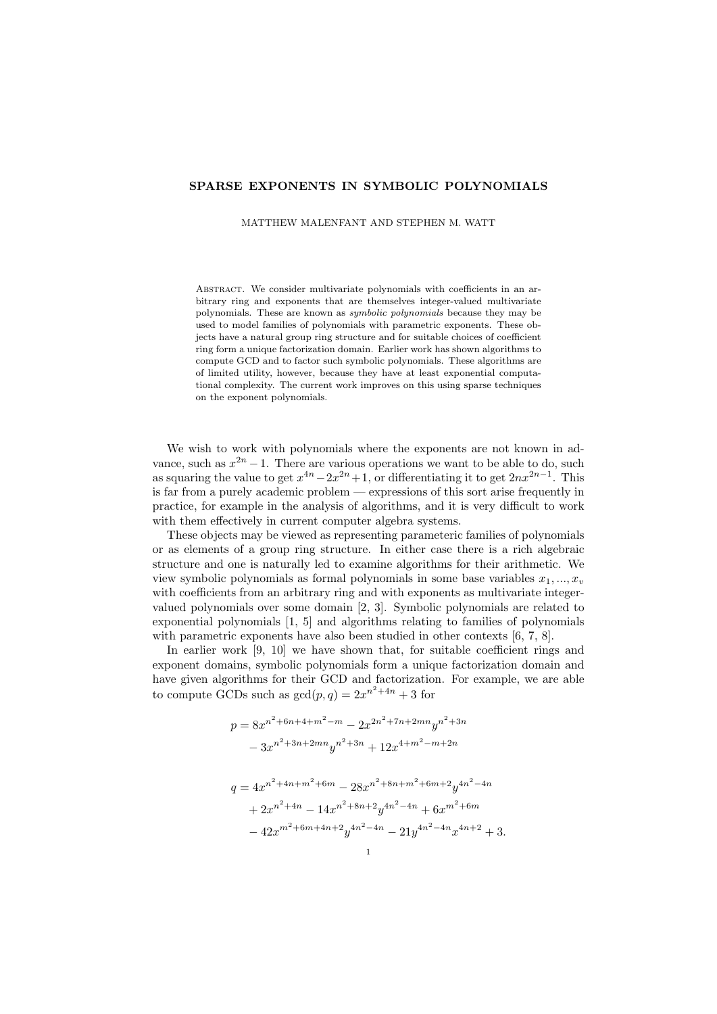## SPARSE EXPONENTS IN SYMBOLIC POLYNOMIALS

MATTHEW MALENFANT AND STEPHEN M. WATT

ABSTRACT. We consider multivariate polynomials with coefficients in an arbitrary ring and exponents that are themselves integer-valued multivariate polynomials. These are known as symbolic polynomials because they may be used to model families of polynomials with parametric exponents. These objects have a natural group ring structure and for suitable choices of coefficient ring form a unique factorization domain. Earlier work has shown algorithms to compute GCD and to factor such symbolic polynomials. These algorithms are of limited utility, however, because they have at least exponential computational complexity. The current work improves on this using sparse techniques on the exponent polynomials.

We wish to work with polynomials where the exponents are not known in advance, such as  $x^{2n} - 1$ . There are various operations we want to be able to do, such as squaring the value to get  $x^{4n} - 2x^{2n} + 1$ , or differentiating it to get  $2nx^{2n-1}$ . This is far from a purely academic problem — expressions of this sort arise frequently in practice, for example in the analysis of algorithms, and it is very difficult to work with them effectively in current computer algebra systems.

These objects may be viewed as representing parameteric families of polynomials or as elements of a group ring structure. In either case there is a rich algebraic structure and one is naturally led to examine algorithms for their arithmetic. We view symbolic polynomials as formal polynomials in some base variables  $x_1, ..., x_v$ with coefficients from an arbitrary ring and with exponents as multivariate integervalued polynomials over some domain [2, 3]. Symbolic polynomials are related to exponential polynomials [1, 5] and algorithms relating to families of polynomials with parametric exponents have also been studied in other contexts  $[6, 7, 8]$ .

In earlier work [9, 10] we have shown that, for suitable coefficient rings and exponent domains, symbolic polynomials form a unique factorization domain and have given algorithms for their GCD and factorization. For example, we are able to compute GCDs such as  $gcd(p, q) = 2x^{n^2+4n} + 3$  for

$$
p = 8x^{n^2 + 6n + 4 + m^2 - m} - 2x^{2n^2 + 7n + 2mn}y^{n^2 + 3n}
$$
  
\n
$$
- 3x^{n^2 + 3n + 2mn}y^{n^2 + 3n} + 12x^{4 + m^2 - m + 2n}
$$
  
\n
$$
q = 4x^{n^2 + 4n + m^2 + 6m} - 28x^{n^2 + 8n + m^2 + 6m + 2}y^{4n^2 - 4n}
$$
  
\n
$$
+ 2x^{n^2 + 4n} - 14x^{n^2 + 8n + 2}y^{4n^2 - 4n} + 6x^{m^2 + 6m}
$$
  
\n
$$
- 42x^{m^2 + 6m + 4n + 2}y^{4n^2 - 4n} - 21y^{4n^2 - 4n}x^{4n + 2} + 3.
$$